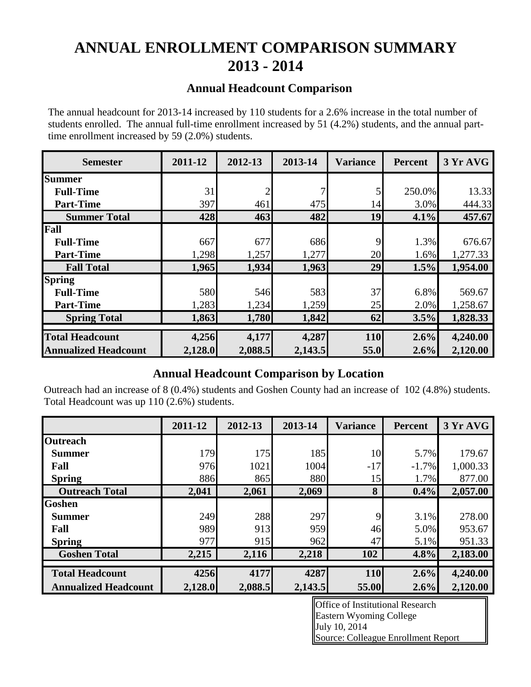# **ANNUAL ENROLLMENT COMPARISON SUMMARY 2013 - 2014**

#### **Annual Headcount Comparison**

The annual headcount for 2013-14 increased by 110 students for a 2.6% increase in the total number of students enrolled. The annual full-time enrollment increased by 51 (4.2%) students, and the annual parttime enrollment increased by 59 (2.0%) students.

| <b>Semester</b>             | 2011-12 | 2012-13 | 2013-14 | <b>Variance</b> | <b>Percent</b> | 3 Yr AVG |
|-----------------------------|---------|---------|---------|-----------------|----------------|----------|
| <b>Summer</b>               |         |         |         |                 |                |          |
| <b>Full-Time</b>            | 31      |         |         |                 | 250.0%         | 13.33    |
| <b>Part-Time</b>            | 397     | 461     | 475     | 14              | 3.0%           | 444.33   |
| <b>Summer Total</b>         | 428     | 463     | 482     | 19              | 4.1%           | 457.67   |
| Fall                        |         |         |         |                 |                |          |
| <b>Full-Time</b>            | 667     | 677     | 686     | 9               | 1.3%           | 676.67   |
| <b>Part-Time</b>            | 1,298   | 1,257   | 1,277   | 20              | 1.6%           | 1,277.33 |
| <b>Fall Total</b>           | 1,965   | 1,934   | 1,963   | 29              | 1.5%           | 1,954.00 |
| <b>Spring</b>               |         |         |         |                 |                |          |
| <b>Full-Time</b>            | 580     | 546     | 583     | 37              | 6.8%           | 569.67   |
| <b>Part-Time</b>            | 1,283   | 1,234   | 1,259   | 25              | 2.0%           | 1,258.67 |
| <b>Spring Total</b>         | 1,863   | 1,780   | 1,842   | 62              | 3.5%           | 1,828.33 |
|                             |         |         |         |                 |                |          |
| <b>Total Headcount</b>      | 4,256   | 4,177   | 4,287   | <b>110</b>      | 2.6%           | 4,240.00 |
| <b>Annualized Headcount</b> | 2,128.0 | 2,088.5 | 2,143.5 | 55.0            | 2.6%           | 2,120.00 |

### **Annual Headcount Comparison by Location**

Outreach had an increase of 8 (0.4%) students and Goshen County had an increase of 102 (4.8%) students. Total Headcount was up 110 (2.6%) students.

|                             | 2011-12 | 2012-13 | 2013-14 | <b>Variance</b> | Percent  | 3 Yr AVG |
|-----------------------------|---------|---------|---------|-----------------|----------|----------|
| <b>Outreach</b>             |         |         |         |                 |          |          |
| <b>Summer</b>               | 179     | 175     | 185     | 10              | 5.7%     | 179.67   |
| Fall                        | 976     | 1021    | 1004    | $-17$           | $-1.7\%$ | 1,000.33 |
| <b>Spring</b>               | 886     | 865     | 880     | 15              | 1.7%     | 877.00   |
| <b>Outreach Total</b>       | 2,041   | 2,061   | 2,069   | 8               | 0.4%     | 2,057.00 |
| <b>Goshen</b>               |         |         |         |                 |          |          |
| <b>Summer</b>               | 249     | 288     | 297     | 9               | 3.1%     | 278.00   |
| Fall                        | 989     | 913     | 959     | 46              | 5.0%     | 953.67   |
| <b>Spring</b>               | 977     | 915     | 962     | 47              | 5.1%     | 951.33   |
| <b>Goshen Total</b>         | 2,215   | 2,116   | 2,218   | 102             | 4.8%     | 2,183.00 |
| <b>Total Headcount</b>      | 4256    | 4177    | 4287    | 110             | 2.6%     | 4,240.00 |
| <b>Annualized Headcount</b> | 2,128.0 | 2,088.5 | 2,143.5 | 55.00           | 2.6%     | 2,120.00 |

Office of Institutional Research Eastern Wyoming College July 10, 2014 Source: Colleague Enrollment Report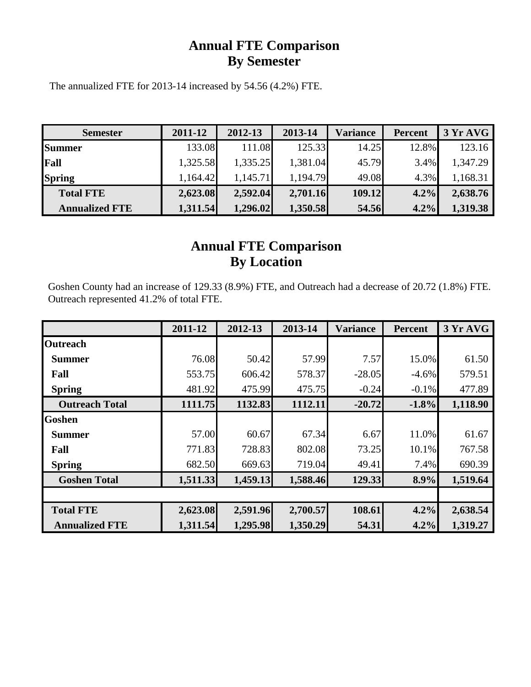## **Annual FTE Comparison By Semester**

The annualized FTE for 2013-14 increased by 54.56 (4.2%) FTE.

| <b>Semester</b>       | 2011-12  | 2012-13  | 2013-14  | <b>Variance</b> | <b>Percent</b> | 3 Yr AVG |
|-----------------------|----------|----------|----------|-----------------|----------------|----------|
| <b>Summer</b>         | 133.08   | 111.08   | 125.33   | 14.25           | 12.8%          | 123.16   |
| Fall                  | 1,325.58 | 1,335.25 | 1,381.04 | 45.79           | 3.4%           | 1,347.29 |
| <b>Spring</b>         | 1,164.42 | 1,145.71 | 1,194.79 | 49.08           | 4.3%           | 1,168.31 |
| <b>Total FTE</b>      | 2,623.08 | 2,592.04 | 2,701.16 | 109.12          | 4.2%           | 2,638.76 |
| <b>Annualized FTE</b> | 1,311.54 | 1,296.02 | 1,350.58 | 54.56           | 4.2%           | 1,319.38 |

# **Annual FTE Comparison By Location**

Goshen County had an increase of 129.33 (8.9%) FTE, and Outreach had a decrease of 20.72 (1.8%) FTE. Outreach represented 41.2% of total FTE.

|                       | 2011-12  | 2012-13  | 2013-14  | <b>Variance</b> | Percent  | 3 Yr AVG |
|-----------------------|----------|----------|----------|-----------------|----------|----------|
| <b>Outreach</b>       |          |          |          |                 |          |          |
| <b>Summer</b>         | 76.08    | 50.42    | 57.99    | 7.57            | 15.0%    | 61.50    |
| Fall                  | 553.75   | 606.42   | 578.37   | $-28.05$        | $-4.6%$  | 579.51   |
| <b>Spring</b>         | 481.92   | 475.99   | 475.75   | $-0.24$         | $-0.1\%$ | 477.89   |
| <b>Outreach Total</b> | 1111.75  | 1132.83  | 1112.11  | $-20.72$        | $-1.8%$  | 1,118.90 |
| Goshen                |          |          |          |                 |          |          |
| <b>Summer</b>         | 57.00    | 60.67    | 67.34    | 6.67            | 11.0%    | 61.67    |
| Fall                  | 771.83   | 728.83   | 802.08   | 73.25           | 10.1%    | 767.58   |
| <b>Spring</b>         | 682.50   | 669.63   | 719.04   | 49.41           | 7.4%     | 690.39   |
| <b>Goshen Total</b>   | 1,511.33 | 1,459.13 | 1,588.46 | 129.33          | 8.9%     | 1,519.64 |
|                       |          |          |          |                 |          |          |
| <b>Total FTE</b>      | 2,623.08 | 2,591.96 | 2,700.57 | 108.61          | 4.2%     | 2,638.54 |
| <b>Annualized FTE</b> | 1,311.54 | 1,295.98 | 1,350.29 | 54.31           | 4.2%     | 1,319.27 |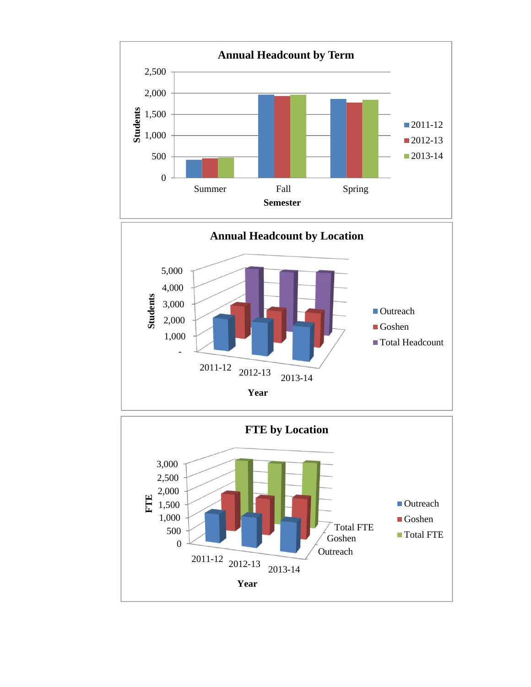

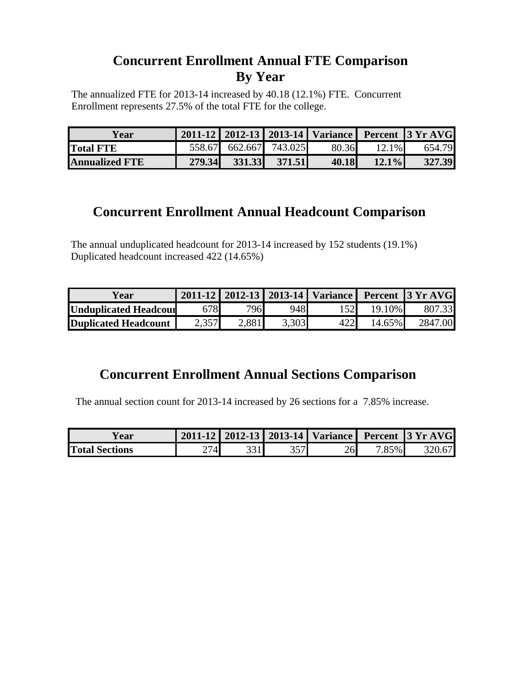## **Concurrent Enrollment Annual FTE Comparison By Year**

The annualized FTE for 2013-14 increased by 40.18 (12.1%) FTE. Concurrent Enrollment represents 27.5% of the total FTE for the college.

| Year                  |  |                        |       |          | 2011-12 2012-13 2013-14 Variance Percent 3 Yr AVG |
|-----------------------|--|------------------------|-------|----------|---------------------------------------------------|
| <b>Total FTE</b>      |  | 558.67 662.667 743.025 | 80.36 | 12.1%    | 654.79                                            |
| <b>Annualized FTE</b> |  | 279.34 331.33 371.51   | 40.18 | $12.1\%$ | 327.39                                            |

## **Concurrent Enrollment Annual Headcount Comparison**

The annual unduplicated headcount for 2013-14 increased by 152 students (19.1%) Duplicated headcount increased 422 (14.65%)

| lear                        |       |        |      |      |           | 2011-12   2012-13   2013-14   Variance   Percent   3 Yr AVG |
|-----------------------------|-------|--------|------|------|-----------|-------------------------------------------------------------|
| Unduplicated Headcour       | 678   | 7961   | 9481 | 1521 | $19.10\%$ | 807.33                                                      |
| <b>Duplicated Headcount</b> | 2,357 | 2.8811 |      |      | $14.65\%$ | 2847.00                                                     |

### **Concurrent Enrollment Annual Sections Comparison**

The annual section count for 2013-14 increased by 26 sections for a 7.85% increase.

| ear)                  |  |    |       | 2011-12   2012-13   2013-14   Variance   Percent   3 Yr AVG |
|-----------------------|--|----|-------|-------------------------------------------------------------|
| <b>Total Sections</b> |  | 26 | 7.85% |                                                             |